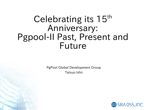### Celebrating its 15<sup>th</sup> Anniversary: Pgpool-II Past, Present and Future

PgPooI Global Development Group Tatsuo Ishii

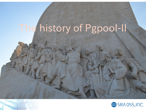# The history of Pgpool-II

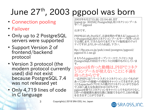# June 27th, 2003 pgpool was born

- Connection pooling
- Failover
- Only up to 2 PostgreSQL servers were supported
- Support Version 2 of frontend/backend protocol
- Version 3 protocol (the modern protocol currently used) did not exist because PostgreSQL 7.4 was not released yet
- Only 4,719 lines of code in C language

2003年6月27日(金) 22:54:46 JST [pgsql-jp: 30256] PostgreSQL用コネクションプールコネクションプール サーバ pgpool

石井です.

PHPをはじめ,Perlなど,言語を問わず使える「pgpool」と いPostgreSQL用のコネクションプールサーバを作ったの で公開します.できたなのでまだアルファ版程度のクォリ ティですが,よろしかったらお試し下さい.

ftp://ftp.sra.co.jp/pub/cmd/postgres/pgpool/ pgpool-0.1.tar.gz

# もちろんpgpoolはオープンソースで,ライセンスは PostgreSQLのBSDライセンスと同様のものにしていま す.

pgpoolを作った動機は,PHPでコネク ションプールが使えないことに不満を 持ったからです

一応PHPには「パーシスタントコネクション」というものが あってDBへの接続への接続をキャッシュできますが,少な くともapacheのプロセスの数だけコネクションができるの で,DBへ過大な負荷がかかりがちです. pgpoolを使うとコネクションをキャッシュできるだけでなく,

 $\overline{\rm{D}}\bar{\rm{B}}$ への接続数を適切な数に制限できるので,DBの性能 を引き出すことができます.

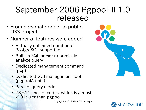#### September 2006 Pgpool-II 1.0 released

- From personal project to public OSS project
- Number of features were added
	- Virtually unlimited number of PostgreSQL supported
	- Built-in SQL parser to precisely analyze query
	- Dedicated management command (pcp)
	- Dedicated GUI management tool (pgpoolAdmin)
	- Parallel query mode
	- 73,511 lines of codes, which is almost x10 larger than pgpool

4 Copyright(c) 2018 SRA OSS, Inc. Japan



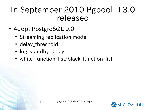#### In September 2010 Pgpool-II 3.0 released

- Adopt PostgreSQL 9.0
	- Streaming replication mode
	- delay\_threshold
	- log\_standby\_delay
	- white\_function\_list/black\_function\_list

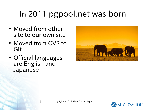### In 2011 pgpool.net was born

- Moved from other site to our own site
- Moved from CVS to Git
- Official languages are English and Japanese



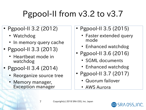## Pgpool-II from v3.2 to v3.7

- Pgpool-II 3.2 (2012)
	- Watchdog
	- In memory query cache
- Pgpool-II 3.3 (2013)
	- Heartbeat mode in watchdog
- Pgpool-II 3.4 (2014)
	- Reorganize source tree
	- Memory manager, Exception manager
- Pgpool-II 3.5 (2015)
	- Faster extended query mode
	- Enhanced watchdog
- Pgpool-II 3.6 (2016)
	- SGML documents
	- Enhanced watchdog
- Pgpool-II 3.7 (2017)
	- Quorum failover
	- AWS Aurora

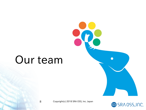# Our team





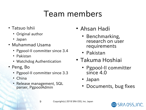### Team members

- Tatsuo Ishii
	- Original author
	- Japan
- Muhammad Usama
	- Pgpool-II committer since 3.4
	- Pakistan
	- Watchdog Authentication
- Peng, Bo
	- Pgpool-II committer since 3.3
	- China
	- Release management, SQL parser, PgpoolAdmin
- Ahsan Hadi
	- Benchmarking, research on user requirements
	- Pakistan
- Takuma Hoshiai
	- Pgpool-II committer since 4.0
	- Japan
	- Documents, bug fixes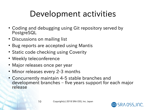### Development activities

- Coding and debugging using Git repository served by PostgreSQL
- Discussions on mailing list
- Bug reports are accepted using Mantis
- Static code checking using Coverity
- Weekly teleconference
- Major releases once per year
- Minor releases every 2-3 months
- Concurrently maintain 4-5 stable branches and development branches – five years support for each major release

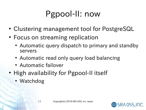### Pgpool-II: now

- Clustering management tool for PostgreSQL
- Focus on streaming replication
	- Automatic query dispatch to primary and standby servers
	- Automatic read only query load balancing
	- Automatic failover
- High availability for Pgpool-II itself
	- Watchdog

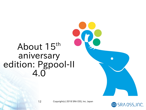### About 15<sup>th</sup> aniversary edition: Pgpool-II 4.0



12 Copyright(c) 2018 SRA OSS, Inc. Japan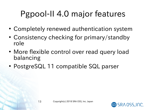## Pgpool-II 4.0 major features

- Completely renewed authentication system
- Consistency checking for primary/standby role
- More flexible control over read query load balancing
- PostgreSQL 11 compatible SQL parser

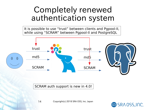#### Completely renewed authentication system

It is possible to use "trust" between clients and Pgpool-II, while using "SCRAM" between Pgpool-II and PostgreSQL



SCRAM auth support is new in 4.0!

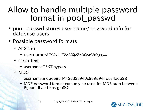### Allow to handle multiple password format in pool\_passwd

- pool passwd stores user name/password info for database users
- Possible password formats
	- AES256
		- username:AESAxjUF2clVQvZn0QvnVzBgg==
	- Clear text
		- username:TEXTmypass
	- $\cdot$  MD5
		- username:md56e854442cd2a940c9e95941dce4ad598
		- MD5 password format can only be used for MD5 auth between Pgpool-II and PostgreSQL

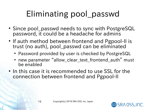## Eliminating pool\_passwd

- Since pool passwd needs to sync with PostgreSQL password, it could be a headache for admins
- If auth method between frontend and Pgpool-II is trust (no auth), pool\_passwd can be eliminated
	- Password provided by user is checked by PostgreSQL
	- new parameter "allow\_clear\_text\_frontend\_auth" must be enabled
- In this case it is recommended to use SSL for the connection between frontend and Pgpool-II

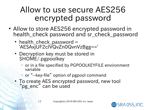### Allow to use secure AES256 encrypted password

- Allow to store AES256 encrypted password in health check password and sr check\_password
	- health\_check\_password = 'AESAxjUF2clVQvZn0QvnVzBgg=='
	- Decryption key must be stored in \$HOME/.pgpoolkey
		- or in a file specified by PGPOOLKEYFILE environment variable
		- or "--key-file" option of pgpool command
	- To create AES encrypted password, new tool "pg\_enc" can be used

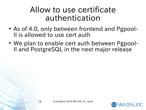#### Allow to use certificate authentication

- As of 4.0, only between frontend and Pgpool-II is allowed to use cert auth
- We plan to enable cert auth between Pgpool-II and PostgreSQL in the next major release

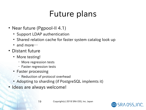### Future plans

- Near future (Pgpool-II 4.1)
	- Support LDAP authentication
	- Shared relation cache for faster system catalog look up
	- and more $\cdots$
- Distant future
	- More testing!
		- More regression tests
		- Faster regression tests
	- Faster processing
		- Reduction of protocol overhead
	- Adopting to sharding (if PostgreSQL implemts it)
- Ideas are always welcome!